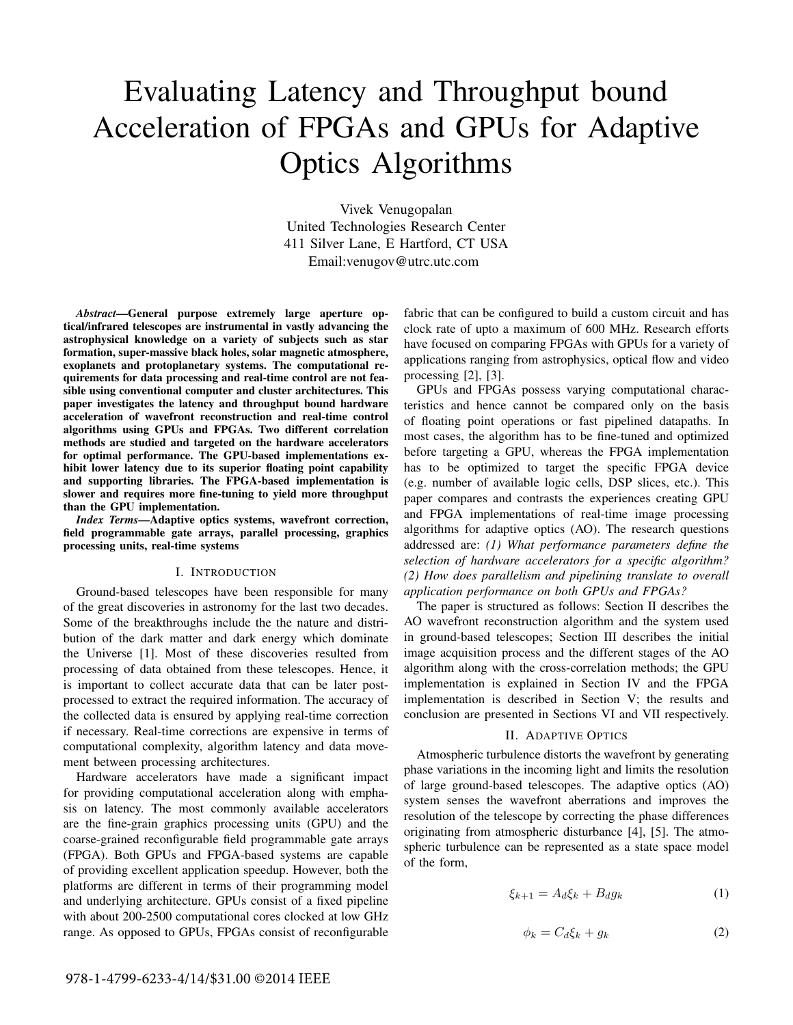# Evaluating Latency and Throughput bound Acceleration of FPGAs and GPUs for Adaptive Optics Algorithms

Vivek Venugopalan United Technologies Research Center 411 Silver Lane, E Hartford, CT USA Email:venugov@utrc.utc.com

*Abstract*—General purpose extremely large aperture optical/infrared telescopes are instrumental in vastly advancing the astrophysical knowledge on a variety of subjects such as star formation, super-massive black holes, solar magnetic atmosphere, exoplanets and protoplanetary systems. The computational requirements for data processing and real-time control are not feasible using conventional computer and cluster architectures. This paper investigates the latency and throughput bound hardware acceleration of wavefront reconstruction and real-time control algorithms using GPUs and FPGAs. Two different correlation methods are studied and targeted on the hardware accelerators for optimal performance. The GPU-based implementations exhibit lower latency due to its superior floating point capability and supporting libraries. The FPGA-based implementation is slower and requires more fine-tuning to yield more throughput than the GPU implementation.

*Index Terms*—Adaptive optics systems, wavefront correction, field programmable gate arrays, parallel processing, graphics processing units, real-time systems

### I. INTRODUCTION

Ground-based telescopes have been responsible for many of the great discoveries in astronomy for the last two decades. Some of the breakthroughs include the the nature and distribution of the dark matter and dark energy which dominate the Universe [1]. Most of these discoveries resulted from processing of data obtained from these telescopes. Hence, it is important to collect accurate data that can be later postprocessed to extract the required information. The accuracy of the collected data is ensured by applying real-time correction if necessary. Real-time corrections are expensive in terms of computational complexity, algorithm latency and data movement between processing architectures.

Hardware accelerators have made a significant impact for providing computational acceleration along with emphasis on latency. The most commonly available accelerators are the fine-grain graphics processing units (GPU) and the coarse-grained reconfigurable field programmable gate arrays (FPGA). Both GPUs and FPGA-based systems are capable of providing excellent application speedup. However, both the platforms are different in terms of their programming model and underlying architecture. GPUs consist of a fixed pipeline with about 200-2500 computational cores clocked at low GHz range. As opposed to GPUs, FPGAs consist of reconfigurable

fabric that can be configured to build a custom circuit and has clock rate of upto a maximum of 600 MHz. Research efforts have focused on comparing FPGAs with GPUs for a variety of applications ranging from astrophysics, optical flow and video processing [2], [3].

GPUs and FPGAs possess varying computational characteristics and hence cannot be compared only on the basis of floating point operations or fast pipelined datapaths. In most cases, the algorithm has to be fine-tuned and optimized before targeting a GPU, whereas the FPGA implementation has to be optimized to target the specific FPGA device (e.g. number of available logic cells, DSP slices, etc.). This paper compares and contrasts the experiences creating GPU and FPGA implementations of real-time image processing algorithms for adaptive optics (AO). The research questions addressed are: *(1) What performance parameters define the selection of hardware accelerators for a specific algorithm? (2) How does parallelism and pipelining translate to overall application performance on both GPUs and FPGAs?*

The paper is structured as follows: Section II describes the AO wavefront reconstruction algorithm and the system used in ground-based telescopes; Section III describes the initial image acquisition process and the different stages of the AO algorithm along with the cross-correlation methods; the GPU implementation is explained in Section IV and the FPGA implementation is described in Section V; the results and conclusion are presented in Sections VI and VII respectively.

## II. ADAPTIVE OPTICS

Atmospheric turbulence distorts the wavefront by generating phase variations in the incoming light and limits the resolution of large ground-based telescopes. The adaptive optics (AO) system senses the wavefront aberrations and improves the resolution of the telescope by correcting the phase differences originating from atmospheric disturbance [4], [5]. The atmospheric turbulence can be represented as a state space model of the form,

$$
\xi_{k+1} = A_d \xi_k + B_d g_k \tag{1}
$$

$$
\phi_k = C_d \xi_k + g_k \tag{2}
$$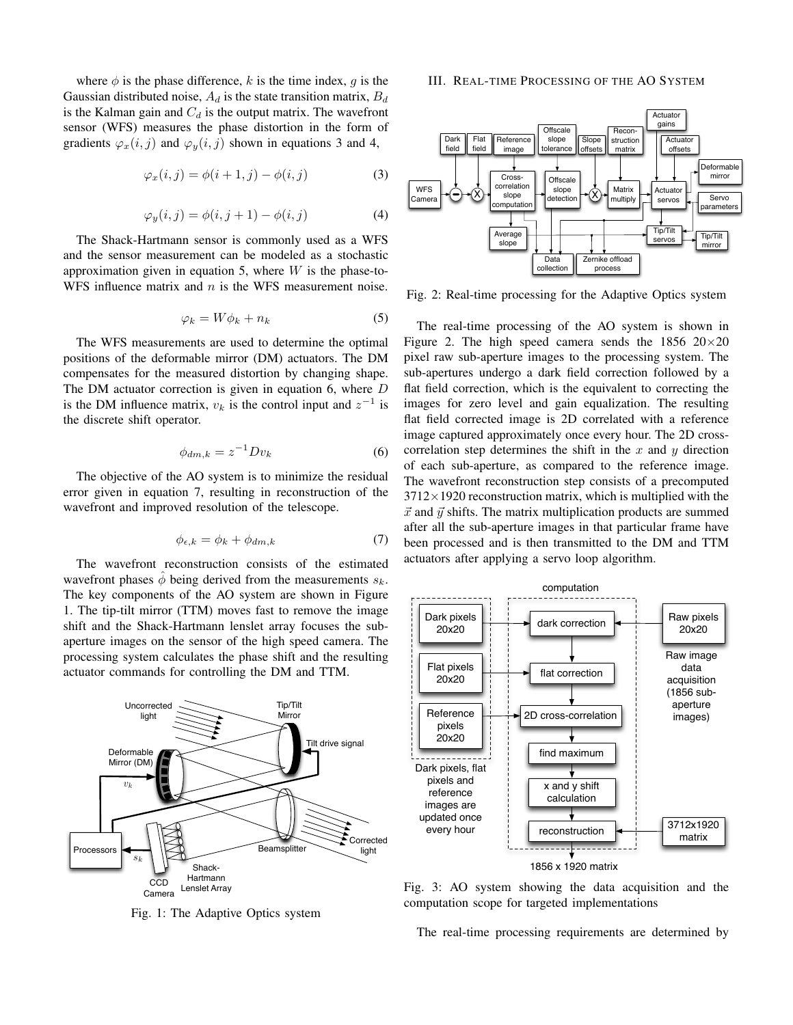where  $\phi$  is the phase difference, k is the time index, g is the Gaussian distributed noise,  $A_d$  is the state transition matrix,  $B_d$ is the Kalman gain and  $C_d$  is the output matrix. The wavefront sensor (WFS) measures the phase distortion in the form of gradients  $\varphi_x(i, j)$  and  $\varphi_y(i, j)$  shown in equations 3 and 4,

$$
\varphi_x(i,j) = \phi(i+1,j) - \phi(i,j) \tag{3}
$$

$$
\varphi_y(i,j) = \phi(i,j+1) - \phi(i,j) \tag{4}
$$

The Shack-Hartmann sensor is commonly used as a WFS and the sensor measurement can be modeled as a stochastic approximation given in equation 5, where  $W$  is the phase-to-WFS influence matrix and  $n$  is the WFS measurement noise.

$$
\varphi_k = W\phi_k + n_k \tag{5}
$$

The WFS measurements are used to determine the optimal positions of the deformable mirror (DM) actuators. The DM compensates for the measured distortion by changing shape. The DM actuator correction is given in equation 6, where D is the DM influence matrix,  $v_k$  is the control input and  $z^{-1}$  is the discrete shift operator.

$$
\phi_{dm,k} = z^{-1} D v_k \tag{6}
$$

The objective of the AO system is to minimize the residual error given in equation 7, resulting in reconstruction of the wavefront and improved resolution of the telescope.

$$
\phi_{\epsilon,k} = \phi_k + \phi_{dm,k} \tag{7}
$$

The wavefront reconstruction consists of the estimated wavefront phases  $\phi$  being derived from the measurements  $s_k$ . The key components of the AO system are shown in Figure 1. The tip-tilt mirror (TTM) moves fast to remove the image shift and the Shack-Hartmann lenslet array focuses the subaperture images on the sensor of the high speed camera. The processing system calculates the phase shift and the resulting actuator commands for controlling the DM and TTM.



Fig. 1: The Adaptive Optics system

#### III. REAL-TIME PROCESSING OF THE AO SYSTEM



Fig. 2: Real-time processing for the Adaptive Optics system

The real-time processing of the AO system is shown in Figure 2. The high speed camera sends the  $1856 \t20 \times 20$ pixel raw sub-aperture images to the processing system. The sub-apertures undergo a dark field correction followed by a flat field correction, which is the equivalent to correcting the images for zero level and gain equalization. The resulting flat field corrected image is 2D correlated with a reference image captured approximately once every hour. The 2D crosscorrelation step determines the shift in the x and y direction of each sub-aperture, as compared to the reference image. The wavefront reconstruction step consists of a precomputed  $3712\times1920$  reconstruction matrix, which is multiplied with the  $\vec{x}$  and  $\vec{y}$  shifts. The matrix multiplication products are summed after all the sub-aperture images in that particular frame have been processed and is then transmitted to the DM and TTM actuators after applying a servo loop algorithm.



Fig. 3: AO system showing the data acquisition and the computation scope for targeted implementations

The real-time processing requirements are determined by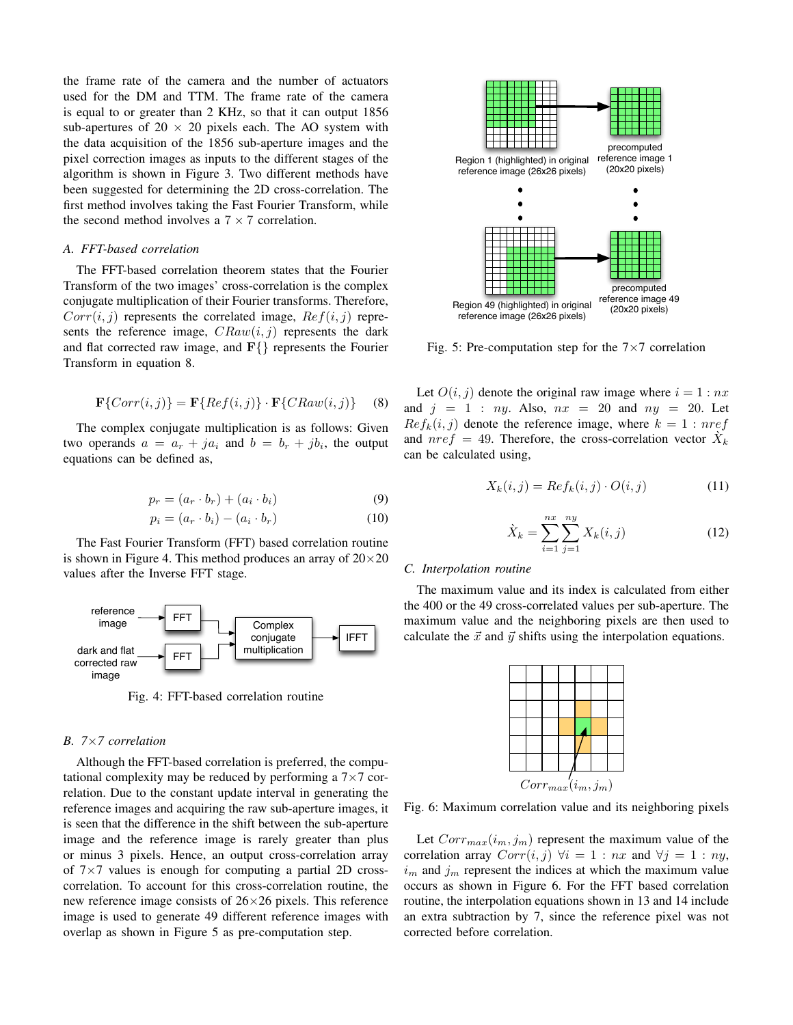the frame rate of the camera and the number of actuators used for the DM and TTM. The frame rate of the camera is equal to or greater than 2 KHz, so that it can output 1856 sub-apertures of  $20 \times 20$  pixels each. The AO system with the data acquisition of the 1856 sub-aperture images and the pixel correction images as inputs to the different stages of the algorithm is shown in Figure 3. Two different methods have been suggested for determining the 2D cross-correlation. The first method involves taking the Fast Fourier Transform, while the second method involves a  $7 \times 7$  correlation.

# *A. FFT-based correlation*

The FFT-based correlation theorem states that the Fourier Transform of the two images' cross-correlation is the complex conjugate multiplication of their Fourier transforms. Therefore,  $Corr(i, j)$  represents the correlated image,  $Ref(i, j)$  represents the reference image,  $CRaw(i, j)$  represents the dark and flat corrected raw image, and  $\mathbf{F}\{\}$  represents the Fourier Transform in equation 8.

$$
\mathbf{F}\{Corr(i,j)\} = \mathbf{F}\{Ref(i,j)\} \cdot \mathbf{F}\{CRaw(i,j)\} \tag{8}
$$

The complex conjugate multiplication is as follows: Given two operands  $a = a_r + ja_i$  and  $b = b_r + jb_i$ , the output equations can be defined as,

$$
p_r = (a_r \cdot b_r) + (a_i \cdot b_i) \tag{9}
$$

$$
p_i = (a_r \cdot b_i) - (a_i \cdot b_r) \tag{10}
$$

The Fast Fourier Transform (FFT) based correlation routine is shown in Figure 4. This method produces an array of  $20 \times 20$ values after the Inverse FFT stage.



Fig. 4: FFT-based correlation routine

## *B. 7*×*7 correlation*

Although the FFT-based correlation is preferred, the computational complexity may be reduced by performing a  $7\times7$  correlation. Due to the constant update interval in generating the reference images and acquiring the raw sub-aperture images, it is seen that the difference in the shift between the sub-aperture image and the reference image is rarely greater than plus or minus 3 pixels. Hence, an output cross-correlation array of  $7\times7$  values is enough for computing a partial 2D crosscorrelation. To account for this cross-correlation routine, the new reference image consists of  $26\times26$  pixels. This reference image is used to generate 49 different reference images with overlap as shown in Figure 5 as pre-computation step.



Fig. 5: Pre-computation step for the  $7\times7$  correlation

Let  $O(i, j)$  denote the original raw image where  $i = 1 : nx$ and  $j = 1$  : ny. Also,  $nx = 20$  and  $ny = 20$ . Let  $Ref_k(i, j)$  denote the reference image, where  $k = 1 : nref$ and  $nref = 49$ . Therefore, the cross-correlation vector  $\hat{X}_k$ can be calculated using,

$$
X_k(i,j) = Re f_k(i,j) \cdot O(i,j) \tag{11}
$$

$$
\dot{X}_k = \sum_{i=1}^{nx} \sum_{j=1}^{ny} X_k(i,j)
$$
 (12)

## *C. Interpolation routine*

The maximum value and its index is calculated from either the 400 or the 49 cross-correlated values per sub-aperture. The maximum value and the neighboring pixels are then used to calculate the  $\vec{x}$  and  $\vec{y}$  shifts using the interpolation equations.



Fig. 6: Maximum correlation value and its neighboring pixels

Let  $Corr_{max}(i_m, j_m)$  represent the maximum value of the correlation array  $Corr(i, j)$   $\forall i = 1 : nx$  and  $\forall j = 1 : ny$ ,  $i_m$  and  $j_m$  represent the indices at which the maximum value occurs as shown in Figure 6. For the FFT based correlation routine, the interpolation equations shown in 13 and 14 include an extra subtraction by 7, since the reference pixel was not corrected before correlation.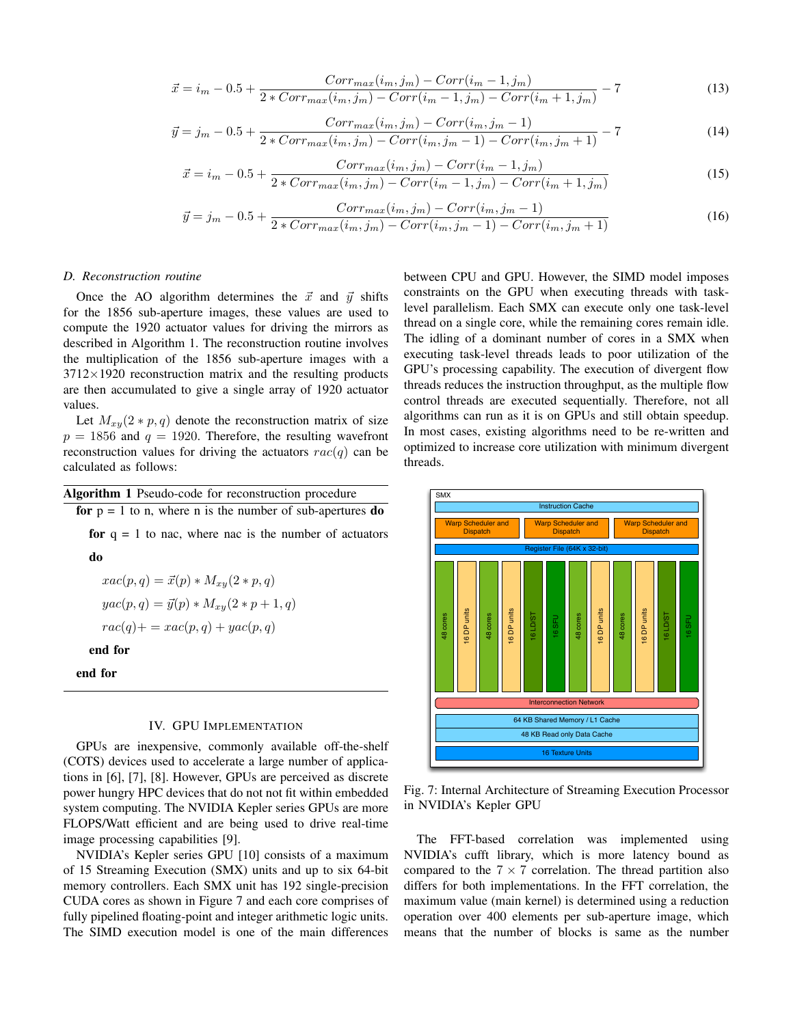$$
\vec{x} = i_m - 0.5 + \frac{Corr_{max}(i_m, j_m) - Corr(i_m - 1, j_m)}{2 * Corr_{max}(i_m, j_m) - Corr(i_m - 1, j_m) - Corr(i_m + 1, j_m)} - 7
$$
\n(13)

$$
\vec{y} = j_m - 0.5 + \frac{Corr_{max}(i_m, j_m) - Corr(i_m, j_m - 1)}{2 * Corr_{max}(i_m, j_m) - Corr(i_m, j_m - 1) - Corr(i_m, j_m + 1)} - 7
$$
\n(14)

$$
\vec{x} = i_m - 0.5 + \frac{Corr_{max}(i_m, j_m) - Corr(i_m - 1, j_m)}{2 * Corr_{max}(i_m, j_m) - Corr(i_m - 1, j_m) - Corr(i_m + 1, j_m)}
$$
(15)

$$
\vec{y} = j_m - 0.5 + \frac{Corr_{max}(i_m, j_m) - Corr(i_m, j_m - 1)}{2 * Corr_{max}(i_m, j_m) - Corr(i_m, j_m - 1) - Corr(i_m, j_m + 1)}
$$
(16)

## *D. Reconstruction routine*

Once the AO algorithm determines the  $\vec{x}$  and  $\vec{y}$  shifts for the 1856 sub-aperture images, these values are used to compute the 1920 actuator values for driving the mirrors as described in Algorithm 1. The reconstruction routine involves the multiplication of the 1856 sub-aperture images with a  $3712\times1920$  reconstruction matrix and the resulting products are then accumulated to give a single array of 1920 actuator values.

Let  $M_{xy}(2*p, q)$  denote the reconstruction matrix of size  $p = 1856$  and  $q = 1920$ . Therefore, the resulting wavefront reconstruction values for driving the actuators  $rac{rac(q)}{qca}$  can be calculated as follows:

## Algorithm 1 Pseudo-code for reconstruction procedure

for  $p = 1$  to n, where n is the number of sub-apertures do

for  $q = 1$  to nac, where nac is the number of actuators do

$$
xac(p,q) = \vec{x}(p) * M_{xy}(2*p,q)
$$
  

$$
yac(p,q) = \vec{y}(p) * M_{xy}(2*p+1,q)
$$
  

$$
rac(q) + xac(p,q) + yac(p,q)
$$

end for

end for

# IV. GPU IMPLEMENTATION

GPUs are inexpensive, commonly available off-the-shelf (COTS) devices used to accelerate a large number of applications in [6], [7], [8]. However, GPUs are perceived as discrete power hungry HPC devices that do not not fit within embedded system computing. The NVIDIA Kepler series GPUs are more FLOPS/Watt efficient and are being used to drive real-time image processing capabilities [9].

NVIDIA's Kepler series GPU [10] consists of a maximum of 15 Streaming Execution (SMX) units and up to six 64-bit memory controllers. Each SMX unit has 192 single-precision CUDA cores as shown in Figure 7 and each core comprises of fully pipelined floating-point and integer arithmetic logic units. The SIMD execution model is one of the main differences between CPU and GPU. However, the SIMD model imposes constraints on the GPU when executing threads with tasklevel parallelism. Each SMX can execute only one task-level thread on a single core, while the remaining cores remain idle. The idling of a dominant number of cores in a SMX when executing task-level threads leads to poor utilization of the GPU's processing capability. The execution of divergent flow threads reduces the instruction throughput, as the multiple flow control threads are executed sequentially. Therefore, not all algorithms can run as it is on GPUs and still obtain speedup. In most cases, existing algorithms need to be re-written and optimized to increase core utilization with minimum divergent threads.



Fig. 7: Internal Architecture of Streaming Execution Processor in NVIDIA's Kepler GPU

The FFT-based correlation was implemented using NVIDIA's cufft library, which is more latency bound as compared to the  $7 \times 7$  correlation. The thread partition also differs for both implementations. In the FFT correlation, the maximum value (main kernel) is determined using a reduction operation over 400 elements per sub-aperture image, which means that the number of blocks is same as the number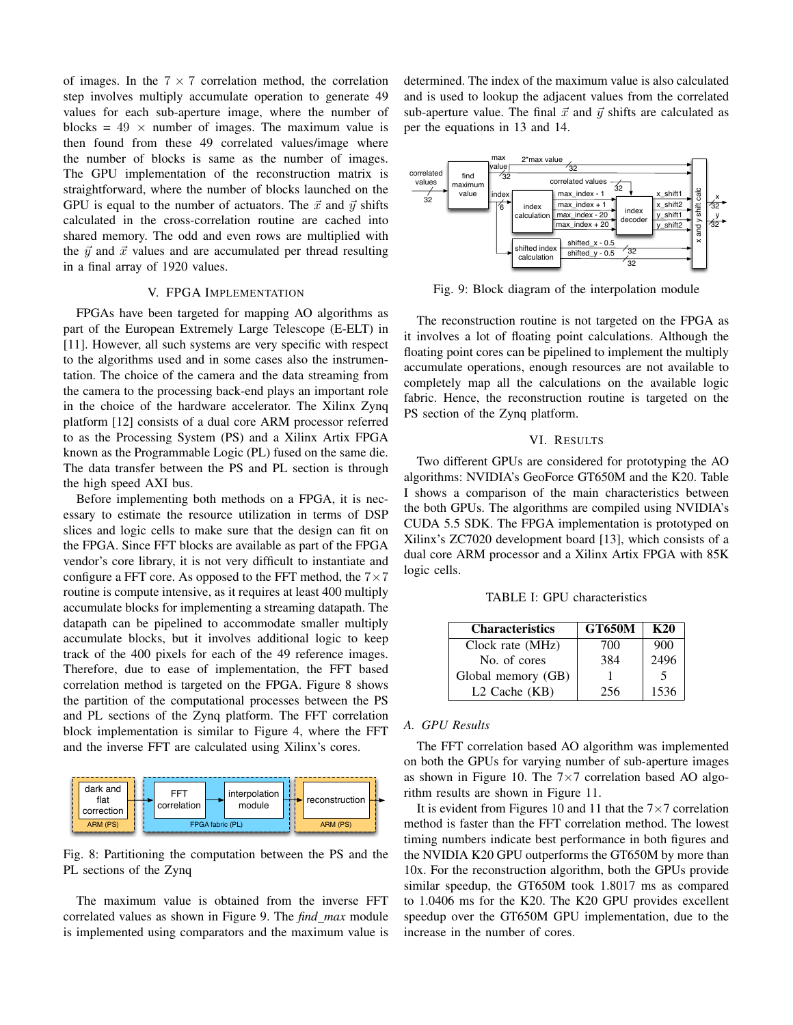of images. In the  $7 \times 7$  correlation method, the correlation step involves multiply accumulate operation to generate 49 values for each sub-aperture image, where the number of blocks =  $49 \times$  number of images. The maximum value is then found from these 49 correlated values/image where the number of blocks is same as the number of images. The GPU implementation of the reconstruction matrix is straightforward, where the number of blocks launched on the GPU is equal to the number of actuators. The  $\vec{x}$  and  $\vec{y}$  shifts calculated in the cross-correlation routine are cached into shared memory. The odd and even rows are multiplied with the  $\vec{y}$  and  $\vec{x}$  values and are accumulated per thread resulting in a final array of 1920 values.

# V. FPGA IMPLEMENTATION

FPGAs have been targeted for mapping AO algorithms as part of the European Extremely Large Telescope (E-ELT) in [11]. However, all such systems are very specific with respect to the algorithms used and in some cases also the instrumentation. The choice of the camera and the data streaming from the camera to the processing back-end plays an important role in the choice of the hardware accelerator. The Xilinx Zynq platform [12] consists of a dual core ARM processor referred to as the Processing System (PS) and a Xilinx Artix FPGA known as the Programmable Logic (PL) fused on the same die. The data transfer between the PS and PL section is through the high speed AXI bus.

Before implementing both methods on a FPGA, it is necessary to estimate the resource utilization in terms of DSP slices and logic cells to make sure that the design can fit on the FPGA. Since FFT blocks are available as part of the FPGA vendor's core library, it is not very difficult to instantiate and configure a FFT core. As opposed to the FFT method, the  $7 \times 7$ routine is compute intensive, as it requires at least 400 multiply accumulate blocks for implementing a streaming datapath. The datapath can be pipelined to accommodate smaller multiply accumulate blocks, but it involves additional logic to keep track of the 400 pixels for each of the 49 reference images. Therefore, due to ease of implementation, the FFT based correlation method is targeted on the FPGA. Figure 8 shows the partition of the computational processes between the PS and PL sections of the Zynq platform. The FFT correlation block implementation is similar to Figure 4, where the FFT and the inverse FFT are calculated using Xilinx's cores.



Fig. 8: Partitioning the computation between the PS and the PL sections of the Zynq

The maximum value is obtained from the inverse FFT correlated values as shown in Figure 9. The *find max* module is implemented using comparators and the maximum value is determined. The index of the maximum value is also calculated and is used to lookup the adjacent values from the correlated sub-aperture value. The final  $\vec{x}$  and  $\vec{y}$  shifts are calculated as per the equations in 13 and 14.



Fig. 9: Block diagram of the interpolation module

The reconstruction routine is not targeted on the FPGA as it involves a lot of floating point calculations. Although the floating point cores can be pipelined to implement the multiply accumulate operations, enough resources are not available to completely map all the calculations on the available logic fabric. Hence, the reconstruction routine is targeted on the PS section of the Zynq platform.

## VI. RESULTS

Two different GPUs are considered for prototyping the AO algorithms: NVIDIA's GeoForce GT650M and the K20. Table I shows a comparison of the main characteristics between the both GPUs. The algorithms are compiled using NVIDIA's CUDA 5.5 SDK. The FPGA implementation is prototyped on Xilinx's ZC7020 development board [13], which consists of a dual core ARM processor and a Xilinx Artix FPGA with 85K logic cells.

TABLE I: GPU characteristics

| <b>Characteristics</b> | <b>GT650M</b> | <b>K20</b>               |
|------------------------|---------------|--------------------------|
| Clock rate (MHz)       | 700           | 900                      |
| No. of cores           | 384           | 2496                     |
| Global memory (GB)     |               | $\overline{\phantom{1}}$ |
| $L2$ Cache (KB)        | 256           | 1536                     |

## *A. GPU Results*

The FFT correlation based AO algorithm was implemented on both the GPUs for varying number of sub-aperture images as shown in Figure 10. The  $7\times7$  correlation based AO algorithm results are shown in Figure 11.

It is evident from Figures 10 and 11 that the  $7\times7$  correlation method is faster than the FFT correlation method. The lowest timing numbers indicate best performance in both figures and the NVIDIA K20 GPU outperforms the GT650M by more than 10x. For the reconstruction algorithm, both the GPUs provide similar speedup, the GT650M took 1.8017 ms as compared to 1.0406 ms for the K20. The K20 GPU provides excellent speedup over the GT650M GPU implementation, due to the increase in the number of cores.